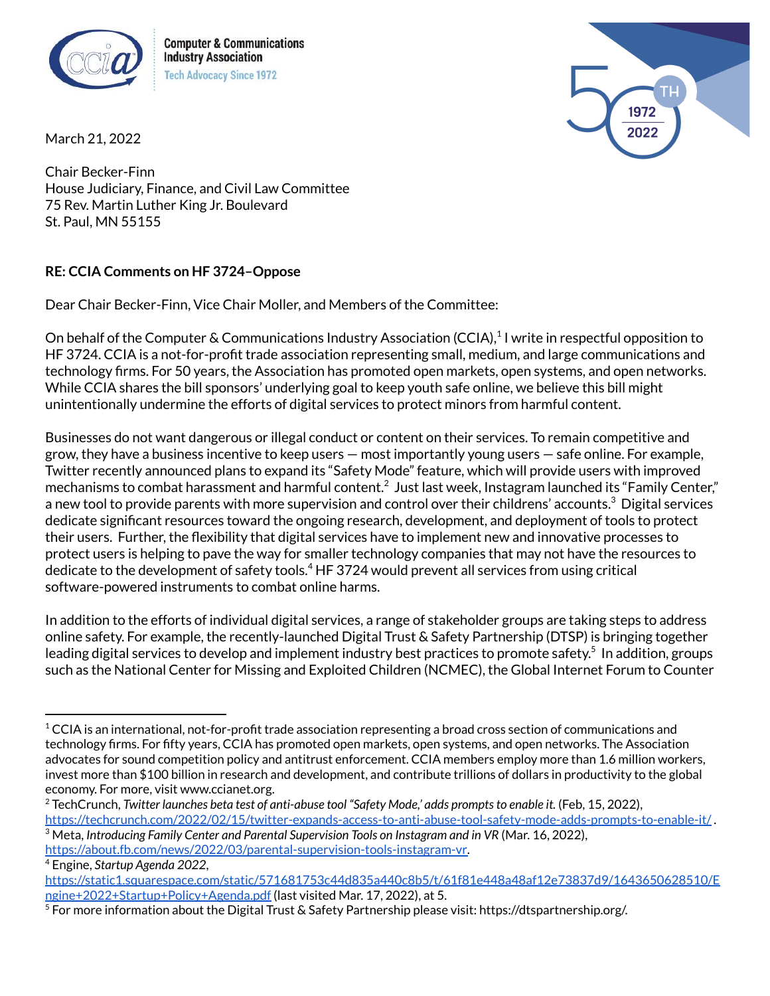

**Computer & Communications Industry Association Tech Advocacy Since 1972** 



March 21, 2022

Chair Becker-Finn House Judiciary, Finance, and Civil Law Committee 75 Rev. Martin Luther King Jr. Boulevard St. Paul, MN 55155

## **RE: CCIA Comments on HF 3724–Oppose**

Dear Chair Becker-Finn, Vice Chair Moller, and Members of the Committee:

On behalf of the Computer & Communications Industry Association (CCIA),<sup>1</sup> I write in respectful opposition to HF 3724. CCIA is a not-for-profit trade association representing small, medium, and large communications and technology firms. For 50 years, the Association has promoted open markets, open systems, and open networks. While CCIA shares the bill sponsors' underlying goal to keep youth safe online, we believe this bill might unintentionally undermine the efforts of digital services to protect minors from harmful content.

Businesses do not want dangerous or illegal conduct or content on their services. To remain competitive and grow, they have a business incentive to keep users — most importantly young users — safe online. For example, Twitter recently announced plans to expand its "Safety Mode" feature, which will provide users with improved mechanisms to combat harassment and harmful content. $^2$  Just last week, Instagram launched its "Family Center," a new tool to provide parents with more supervision and control over their childrens' accounts. $^3$  Digital services dedicate significant resources toward the ongoing research, development, and deployment of tools to protect their users. Further, the flexibility that digital services have to implement new and innovative processes to protect users is helping to pave the way for smaller technology companies that may not have the resources to dedicate to the development of safety tools. <sup>4</sup> HF 3724 would prevent all services from using critical software-powered instruments to combat online harms.

In addition to the efforts of individual digital services, a range of stakeholder groups are taking steps to address online safety. For example, the recently-launched Digital Trust & Safety Partnership (DTSP) is bringing together leading digital services to develop and implement industry best practices to promote safety. 5 In addition, groups such as the National Center for Missing and Exploited Children (NCMEC), the Global Internet Forum to Counter

 $1$  CCIA is an international, not-for-profit trade association representing a broad cross section of communications and technology firms. For fifty years, CCIA has promoted open markets, open systems, and open networks. The Association advocates for sound competition policy and antitrust enforcement. CCIA members employ more than 1.6 million workers, invest more than \$100 billion in research and development, and contribute trillions of dollars in productivity to the global economy. For more, visit www.ccianet.org.

<sup>3</sup> Meta, *Introducing Family Center and Parental Supervision Tools on Instagram and in VR* (Mar. 16, 2022), <sup>2</sup> TechCrunch, *Twitter launches beta test of anti-abuse tool "Safety Mode,' adds promptsto enable it.* (Feb, 15, 2022), <https://techcrunch.com/2022/02/15/twitter-expands-access-to-anti-abuse-tool-safety-mode-adds-prompts-to-enable-it/> .

[https://about.fb.com/news/2022/03/parental-supervision-tools-instagram-vr.](https://about.fb.com/news/2022/03/parental-supervision-tools-instagram-vr/)

<sup>4</sup> Engine, *Startup Agenda 2022*,

[https://static1.squarespace.com/static/571681753c44d835a440c8b5/t/61f81e448a48af12e73837d9/1643650628510/E](https://static1.squarespace.com/static/571681753c44d835a440c8b5/t/61f81e448a48af12e73837d9/1643650628510/Engine+2022+Startup+Policy+Agenda.pdf) [ngine+2022+Startup+Policy+Agenda.pdf](https://static1.squarespace.com/static/571681753c44d835a440c8b5/t/61f81e448a48af12e73837d9/1643650628510/Engine+2022+Startup+Policy+Agenda.pdf) (last visited Mar. 17, 2022), at 5.

 $^5$  For more information about the Digital Trust & Safety Partnership please visit: https://dtspartnership.org/.